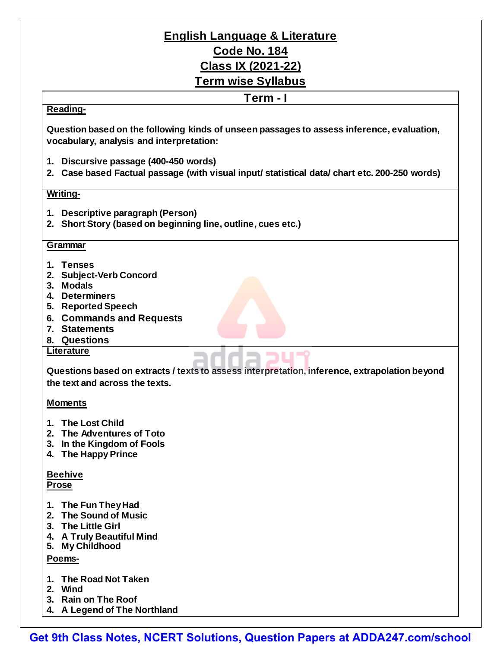# **English Language & Literature Code No. 184 Class IX (2021-22) Term wise Syllabus**

### **Term - I**

### **Reading-**

**Question based on the following kinds of unseen passages to assess inference, evaluation, vocabulary, analysis and interpretation:**

- **1. Discursive passage (400-450 words)**
- **2. Case based Factual passage (with visual input/ statistical data/ chart etc. 200-250 words)**

### **Writing-**

- **1. Descriptive paragraph (Person)**
- **2. Short Story (based on beginning line, outline, cues etc.)**

### **Grammar**

- **1. Tenses**
- **2. Subject-Verb Concord**
- **3. Modals**
- **4. Determiners**
- **5. Reported Speech**
- **6. Commands and Requests**
- **7. Statements**
- **8. Questions**

#### **Literature**

**Questions based on extracts / texts to assess interpretation, inference, extrapolation beyond the text and across the texts.**

### **Moments**

- **1. The Lost Child**
- **2. The Adventures of Toto**
- **3. In the Kingdom of Fools**
- **4. The Happy Prince**

### **Beehive**

**Prose**

- **1. The Fun TheyHad**
- **2. The Sound of Music**
- **3. The Little Girl**
- **4. A Truly Beautiful Mind**
- **5. My Childhood**

### **Poems-**

- **1. The Road Not Taken**
- **2. Wind**
- **3. Rain on The Roof**
- **4. A Legend of The Northland**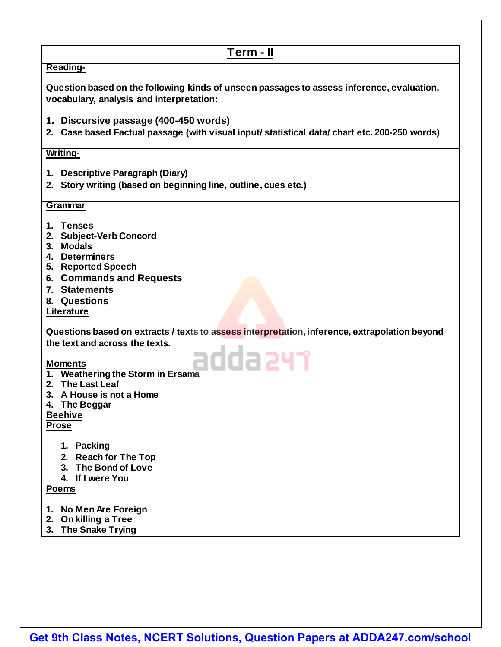## **Term - II**

### **Reading-**

**Question based on the following kinds of unseen passages to assess inference, evaluation, vocabulary, analysis and interpretation:**

- **1. Discursive passage (400-450 words)**
- **2. Case based Factual passage (with visual input/ statistical data/ chart etc. 200-250 words)**

### **Writing-**

- **1. Descriptive Paragraph (Diary)**
- **2. Story writing (based on beginning line, outline, cues etc.)**

### **Grammar**

- **1. Tenses**
- **2. Subject-Verb Concord**
- **3. Modals**
- **4. Determiners**
- **5. Reported Speech**
- **6. Commands and Requests**
- **7. Statements**
- **8. Questions**

### **Literature**

**Questions based on extracts / texts to assess interpretation, inference, extrapolation beyond the text and across the texts.** adda 247

### **Moments**

- **1. Weathering the Storm in Ersama**
- **2. The Last Leaf**
- **3. A House is not a Home**
- **4. The Beggar**

### **Beehive**

#### **Prose**

- **1. Packing**
- **2. Reach for The Top**
- **3. The Bond of Love**
- **4. If I were You**

### **Poems**

- **1. No Men Are Foreign**
- **2. On killing a Tree**
- **3. The Snake Trying**

**[Get 9th Class Notes, NCERT Solutions, Question Papers at ADDA247.com/school](https://rebrand.ly/syllabus-pdf)**